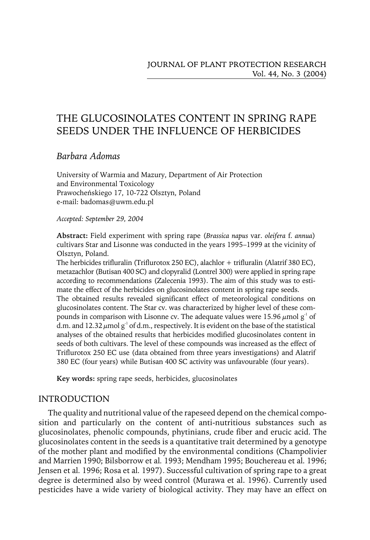# THE GLUCOSINOLATES CONTENT IN SPRING RAPE SEEDS UNDER THE INFLUENCE OF HERBICIDES

# *Barbara Adomas*

University of Warmia and Mazury, Department of Air Protection and Environmental Toxicology Prawocheńskiego 17, 10-722 Olsztyn, Poland e-mail: badomas@uwm.edu.pl

*Accepted: September 29, 2004*

**Abstract:** Fieldexperiment with spring rape (*Brassica napus* var. *oleifera* f. *annua*) cultivars Star and Lisonne was conducted in the years 1995–1999 at the vicinity of Olsztyn, Poland.

The herbicides trifluralin (Triflurotox 250 EC), alachlor + trifluralin (Alatrif 380 EC), metazachlor (Butisan 400 SC) and clopyralid (Lontrel 300) were applied in spring rape according to recommendations (Zalecenia 1993). The aim of this study was to estimate the effect of the herbicides on glucosinolates content in spring rape seeds. The obtained results revealed significant effect of meteorological conditions on glucosinolates content. The Star cv. was characterized by higher level of these compounds in comparison with Lisonne cv. The adequate values were 15.96  $\mu$ mol g<sup>-1</sup> of d.m. and 12.32  $\mu$ mol g<sup>-1</sup> of d.m., respectively. It is evident on the base of the statistical analyses of the obtained results that herbicides modified glucosinolates content in seeds of both cultivars. The level of these compounds was increased as the effect of Triflurotox 250 EC use (data obtained from three years investigations) and Alatrif 380 EC (four years) while Butisan 400 SC activity was unfavourable (four years).

**Key words:** spring rape seeds, herbicides, glucosinolates

# INTRODUCTION

The quality and nutritional value of the rapeseed depend on the chemical composition and particularly on the content of anti-nutritious substances such as glucosinolates, phenolic compounds, phytinians, crude fiber and erucic acid. The glucosinolates content in the seeds is a quantitative trait determined by a genotype of the mother plant and modified by the environmental conditions (Champolivier andMarrien 1990; Bilsborrow et al*.* 1993; Mendham 1995; Bouchereau et al*.* 1996; Jensen et al*.* 1996; Rosa et al*.* 1997). Successful cultivation of spring rape to a great degree is determined also by weed control (Murawa et al. 1996). Currently used pesticides have a wide variety of biological activity. They may have an effect on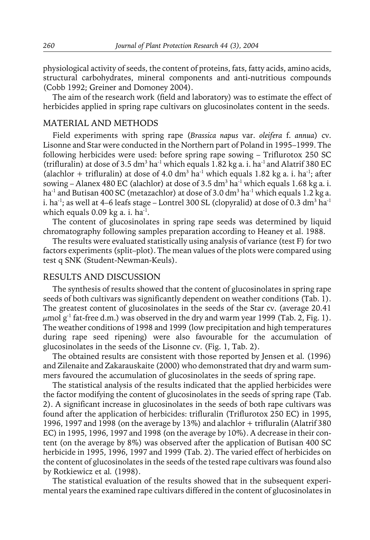physiological activity of seeds, the content of proteins, fats, fatty acids, amino acids, structural carbohydrates, mineral components and anti-nutritious compounds (Cobb 1992; Greiner and Domoney 2004).

The aim of the research work (field and laboratory) was to estimate the effect of herbicides applied in spring rape cultivars on glucosinolates content in the seeds.

### MATERIAL AND METHODS

Field experiments with spring rape (*Brassica napus* var. *oleifera* f. *annua*) cv. Lisonne and Star were conducted in the Northern part of Poland in 1995–1999. The following herbicides were used: before spring rape sowing – Triflurotox 250 SC (trifluralin) at dose of 3.5 dm<sup>3</sup> ha<sup>-1</sup> which equals 1.82 kg a. i. ha<sup>-1</sup> and Alatrif 380 EC (alachlor + trifluralin) at dose of 4.0 dm<sup>3</sup> ha<sup>-1</sup> which equals 1.82 kg a. i. ha<sup>-1</sup>; after sowing – Alanex 480 EC (alachlor) at dose of 3.5 dm<sup>3</sup> ha<sup>-1</sup> which equals 1.68 kg a. i. ha<sup>-1</sup> and Butisan 400 SC (metazachlor) at dose of 3.0 dm<sup>3</sup> ha<sup>-1</sup> which equals 1.2 kg a. i. ha<sup>-1</sup>; as well at 4–6 leafs stage – Lontrel 300 SL (clopyralid) at dose of 0.3 dm<sup>3</sup> ha<sup>-1</sup> which equals  $0.09$  kg a. i. ha<sup>-1</sup>.

The content of glucosinolates in spring rape seeds was determined by liquid chromatography following samples preparation according to Heaney et al. 1988.

The results were evaluated statistically using analysis of variance (test F) for two factors experiments (split–plot). The mean values of the plots were comparedusing test q SNK (Student-Newman-Keuls).

### RESULTS AND DISCUSSION

The synthesis of results showed that the content of glucosinolates in spring rape seeds of both cultivars was significantly dependent on weather conditions (Tab. 1). The greatest content of glucosinolates in the seeds of the Star cv. (average 20.41  $\mu$ mol g<sup>-1</sup> fat-free d.m.) was observed in the dry and warm year 1999 (Tab. 2, Fig. 1). The weather conditions of 1998 and 1999 (low precipitation and high temperatures during rape seed ripening) were also favourable for the accumulation of glucosinolates in the seeds of the Lisonne cv. (Fig. 1, Tab. 2).

The obtained results are consistent with those reported by Jensen et al. (1996) and Zilenaite and Zakarauskaite (2000) who demonstrated that dry and warm summers favoured the accumulation of glucosinolates in the seeds of spring rape.

The statistical analysis of the results indicated that the applied herbicides were the factor modifying the content of glucosinolates in the seeds of spring rape (Tab. 2). A significant increase in glucosinolates in the seeds of both rape cultivars was foundafter the application of herbicides: trifluralin (Triflurotox 250 EC) in 1995, 1996, 1997 and 1998 (on the average by  $13\%$ ) and alachlor + trifluralin (Alatrif 380 EC) in 1995, 1996, 1997 and 1998 (on the average by  $10\%$ ). A decrease in their content (on the average by 8%) was observedafter the application of Butisan 400 SC herbicide in 1995, 1996, 1997 and 1999 (Tab. 2). The varied effect of herbicides on the content of glucosinolates in the seeds of the tested rape cultivars was found also by Rotkiewicz et al*.* (1998).

The statistical evaluation of the results showed that in the subsequent experimental years the examined rape cultivars differed in the content of glucosinolates in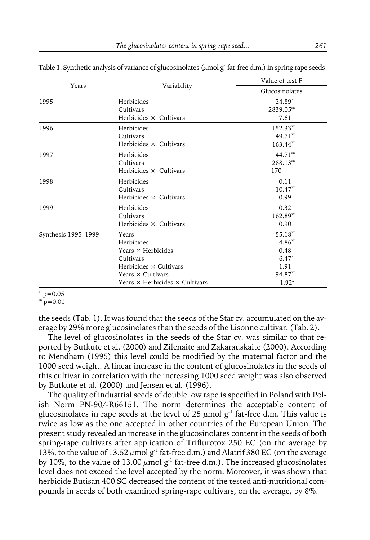|                     |                                              | Value of test F |  |  |
|---------------------|----------------------------------------------|-----------------|--|--|
| Years               | Variability                                  | Glucosinolates  |  |  |
| 1995                | Herbicides                                   | $24.89^{xx}$    |  |  |
|                     | Cultivars                                    | 2839.05**       |  |  |
|                     | Herbicides $\times$ Cultivars                | 7.61            |  |  |
| 1996                | Herbicides                                   | $152.33^{**}$   |  |  |
|                     | Cultivars                                    | $49.71^{xx}$    |  |  |
|                     | Herbicides $\times$ Cultivars                | $163.44^{**}$   |  |  |
| 1997                | Herbicides                                   | $44.71^{xx}$    |  |  |
|                     | Cultivars                                    | $288.13^{xx}$   |  |  |
|                     | Herbicides $\times$ Cultivars                | 170             |  |  |
| 1998                | Herbicides                                   | 0.11            |  |  |
|                     | Cultivars                                    | $10.47^{xx}$    |  |  |
|                     | Herbicides $\times$ Cultivars                | 0.99            |  |  |
| 1999                | Herbicides                                   | 0.32            |  |  |
|                     | Cultivars                                    | $162.89**$      |  |  |
|                     | Herbicides $\times$ Cultivars                | 0.90            |  |  |
| Synthesis 1995-1999 | Years                                        | $55.18**$       |  |  |
|                     | Herbicides                                   | $4.86^{xx}$     |  |  |
|                     | Years $\times$ Herbicides                    | 0.48            |  |  |
|                     | Cultivars                                    | $6.47^{xx}$     |  |  |
|                     | Herbicides $\times$ Cultivars                | 1.91            |  |  |
|                     | Years $\times$ Cultivars                     | $94.87**$       |  |  |
|                     | Years $\times$ Herbicides $\times$ Cultivars | $1.92^{x}$      |  |  |

Table 1. Synthetic analysis of variance of glucosinolates ( $\mu$ mol g<sup>-1</sup> fat-free d.m.) in spring rape seeds

#### $p = 0.05$

 $x_{\text{p}} = 0.01$ 

the seeds (Tab. 1). It was found that the seeds of the Star cv. accumulated on the average by 29% more glucosinolates than the seeds of the Lisonne cultivar. (Tab. 2).

The level of glucosinolates in the seeds of the Star cv. was similar to that reported by Butkute et al. (2000) and Zilenaite and Zakarauskaite (2000). According to Mendham (1995) this level could be modified by the maternal factor and the 1000 seedweight. A linear increase in the content of glucosinolates in the seeds of this cultivar in correlation with the increasing 1000 seedweight was also observed by Butkute et al. (2000) and Jensen et al*.* (1996).

The quality of industrial seeds of double low rape is specified in Poland with Polish Norm PN-90/-R66151. The norm determines the acceptable content of glucosinolates in rape seeds at the level of 25  $\mu$ mol g<sup>-1</sup> fat-free d.m. This value is twice as low as the one acceptedin other countries of the European Union. The present study revealed an increase in the glucosinolates content in the seeds of both spring-rape cultivars after application of Triflurotox 250 EC (on the average by 13%, to the value of 13.52  $\mu$ mol g<sup>-1</sup> fat-free d.m.) and Alatrif 380 EC (on the average by 10%, to the value of 13.00  $\mu$ mol g<sup>-1</sup> fat-free d.m.). The increased glucosinolates level does not exceed the level accepted by the norm. Moreover, it was shown that herbicide Butisan 400 SC decreased the content of the tested anti-nutritional compounds in seeds of both examined spring-rape cultivars, on the average, by 8%.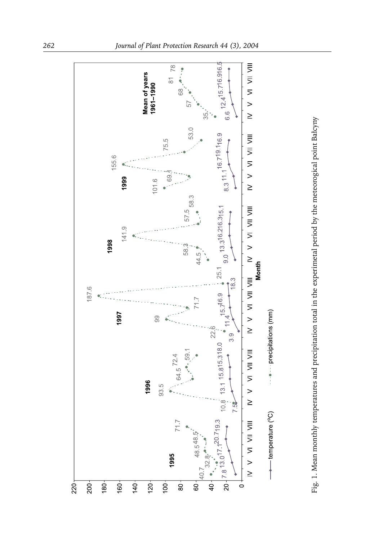

Fig. 1. Mean monthly temperatures andprecipitation total in the experimetal periodby the meteorogical point Bałcyny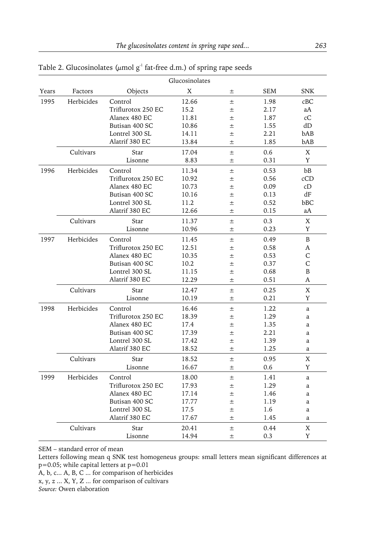| Glucosinolates                  |            |                    |       |       |      |             |  |  |
|---------------------------------|------------|--------------------|-------|-------|------|-------------|--|--|
| Years                           | Factors    | Objects            | X     | 土     | SEM  | <b>SNK</b>  |  |  |
| 1995                            | Herbicides | Control            | 12.66 | $\pm$ | 1.98 | cBC         |  |  |
|                                 |            | Triflurotox 250 EC | 15.2  | $\pm$ | 2.17 | aA          |  |  |
|                                 |            | Alanex 480 EC      | 11.81 | 士     | 1.87 | сC          |  |  |
|                                 |            | Butisan 400 SC     | 10.86 | 士     | 1.55 | dD          |  |  |
|                                 |            | Lontrel 300 SL     | 14.11 | $\pm$ | 2.21 | bAB         |  |  |
|                                 |            | Alatrif 380 EC     | 13.84 | $\pm$ | 1.85 | bAB         |  |  |
|                                 | Cultivars  | Star               | 17.04 | 土     | 0.6  | $\mathbf X$ |  |  |
|                                 |            | Lisonne            | 8.83  | $\pm$ | 0.31 | Y           |  |  |
| 1996<br>Herbicides<br>Cultivars |            | Control            | 11.34 | $\pm$ | 0.53 | bB          |  |  |
|                                 |            | Triflurotox 250 EC | 10.92 | $\pm$ | 0.56 | cCD         |  |  |
|                                 |            | Alanex 480 EC      | 10.73 | $\pm$ | 0.09 | cD          |  |  |
|                                 |            | Butisan 400 SC     | 10.16 | 士     | 0.13 | dF          |  |  |
|                                 |            | Lontrel 300 SL     | 11.2  | 士     | 0.52 | bBC         |  |  |
|                                 |            | Alatrif 380 EC     | 12.66 | $\pm$ | 0.15 | aA          |  |  |
|                                 |            | Star               | 11.37 | $\pm$ | 0.3  | X           |  |  |
|                                 |            | Lisonne            | 10.96 | 士     | 0.23 | Y           |  |  |
| 1997                            | Herbicides | Control            | 11.45 | 士     | 0.49 | B           |  |  |
|                                 |            | Triflurotox 250 EC | 12.51 | $\pm$ | 0.58 | A           |  |  |
|                                 |            | Alanex 480 EC      | 10.35 | $\pm$ | 0.53 | C           |  |  |
|                                 |            | Butisan 400 SC     | 10.2  | 土     | 0.37 | C           |  |  |
|                                 |            | Lontrel 300 SL     | 11.15 | $\pm$ | 0.68 | B           |  |  |
|                                 |            | Alatrif 380 EC     | 12.29 | $\pm$ | 0.51 | A           |  |  |
|                                 | Cultivars  | Star               | 12.47 | $\pm$ | 0.25 | X           |  |  |
|                                 |            | Lisonne            | 10.19 | 土     | 0.21 | Y           |  |  |
| 1998                            | Herbicides | Control            | 16.46 | 士     | 1.22 | a           |  |  |
|                                 |            | Triflurotox 250 EC | 18.39 | 士     | 1.29 | a           |  |  |
|                                 |            | Alanex 480 EC      | 17.4  | 士     | 1.35 | a           |  |  |
|                                 |            | Butisan 400 SC     | 17.39 | $\pm$ | 2.21 | a           |  |  |
|                                 |            | Lontrel 300 SL     | 17.42 | 土     | 1.39 | a           |  |  |
|                                 |            | Alatrif 380 EC     | 18.52 | 士     | 1.25 | a           |  |  |
|                                 | Cultivars  | Star               | 18.52 | 士     | 0.95 | X           |  |  |
|                                 |            | Lisonne            | 16.67 | $\pm$ | 0.6  | Y           |  |  |
| 1999                            | Herbicides | Control            | 18.00 | 士     | 1.41 | a           |  |  |
|                                 |            | Triflurotox 250 EC | 17.93 | 士     | 1.29 | a           |  |  |
|                                 |            | Alanex 480 EC      | 17.14 | 士     | 1.46 | a           |  |  |
|                                 |            | Butisan 400 SC     | 17.77 | 士     | 1.19 | a           |  |  |
|                                 |            | Lontrel 300 SL     | 17.5  | 士     | 1.6  | a           |  |  |
|                                 |            | Alatrif 380 EC     | 17.67 | 士     | 1.45 | a           |  |  |
|                                 | Cultivars  | Star               | 20.41 | $\pm$ | 0.44 | X           |  |  |
|                                 |            | Lisonne            | 14.94 | $\pm$ | 0.3  | Y           |  |  |

Table 2. Glucosinolates ( $\mu$ mol g<sup>-1</sup> fat-free d.m.) of spring rape seeds

SEM – standard error of mean

Letters following mean q SNK test homogeneus groups: small letters mean significant differences at p=0.05; while capital letters at p=0.01

A, b, c... A, B, C ... for comparison of herbicides

x, y, z ... X, Y, Z ... for comparison of cultivars

*Source:* Owen elaboration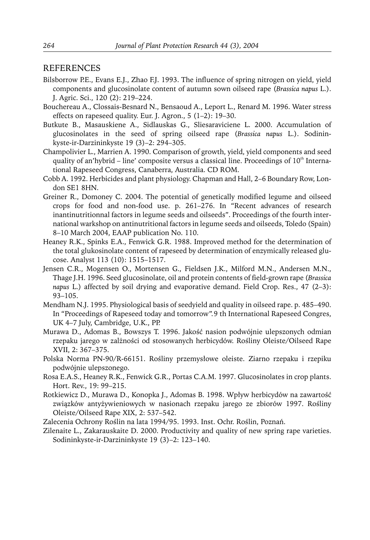### REFERENCES

- Bilsborrow P.E., Evans E.J., Zhao F.J. 1993. The influence of spring nitrogen on yield, yield components andglucosinolate content of autumn sown oilseedrape (*Brassica napus* L.). J. Agric. Sci., 120 (2): 219–224.
- Bouchereau A., Clossais-Besnard N., Bensaoud A., Leport L., Renard M. 1996. Water stress effects on rapeseed quality. Eur. J. Agron., 5 (1–2): 19–30.
- Butkute B., Masauskiene A., Sidlauskas G., Sliesaraviciene L. 2000. Accumulation of glucosinolates in the seedof spring oilseedrape (*Brassica napus* L.). Sodininkyste-ir-Darzininkyste 19 (3)–2: 294–305.
- Champolivier L., Marrien A. 1990. Comparison of growth, yield, yield components and seed quality of an'hybrid – line' composite versus a classical line. Proceedings of  $10<sup>th</sup>$  International Rapeseed Congress, Canaberra, Australia. CD ROM.
- Cobb A. 1992. Herbicides and plant physiology. Chapman and Hall, 2–6 Boundary Row, London SE1 8HN.
- Greiner R., Domoney C. 2004. The potential of genetically modified legume and oilseed crops for food and non-food use. p. 261–276. In "Recent advances of research inantinutritionnal factors in legume seeds and oilseeds". Proceedings of the fourth international warkshop on antinutritional factors in legume seeds and oilseeds, Toledo (Spain) 8–10 March 2004, EAAP publication No. 110.
- Heaney R.K., Spinks E.A., Fenwick G.R. 1988. Improved method for the determination of the total glukosinolate content of rapeseed by determination of enzymically released glucose. Analyst 113 (10): 1515–1517.
- Jensen C.R., Mogensen O., Mortensen G., Fieldsen J.K., Milford M.N., Andersen M.N., Thage J.H. 1996. Seedglucosinolate, oil andprotein contents of field-grown rape (*Brassica napus* L.) affected by soil drying and evaporative demand. Field Crop. Res., 47 (2–3): 93–105.
- Mendham N.J. 1995. Physiological basis of seedyield and quality in oilseed rape. p. 485–490. In "Proceedings of Rapeseed today and tomorrow".9 th International Rapeseed Congres, UK 4–7 July, Cambridge, U.K., PP.
- Murawa D., Adomas B., Bowszys T. 1996. Jakość nasion podwójnie ulepszonych odmian rzepaku jarego w zalżności od stosowanych herbicydów. Rośliny Oleiste/Oilseed Rape XVII, 2: 367–375.
- Polska Norma PN-90/R-66151. Rośliny przemysłowe oleiste. Ziarno rzepaku i rzepiku podwójnie ulepszonego.
- Rosa E.A.S., Heaney R.K., Fenwick G.R., Portas C.A.M. 1997. Glucosinolates in crop plants. Hort. Rev., 19: 99–215.
- Rotkiewicz D., Murawa D., Konopka J., Adomas B. 1998. Wpływ herbicydów na zawartość związków antyżywieniowych w nasionach rzepaku jarego ze zbiorów 1997. Rośliny Oleiste/Oilseed Rape XIX, 2: 537–542.
- Zalecenia Ochrony Roślin na lata 1994/95. 1993. Inst. Ochr. Roślin, Poznań.
- Zilenaite L., Zakarauskaite D. 2000. Productivity and quality of new spring rape varieties. Sodininkyste-ir-Darzininkyste 19 (3)–2: 123–140.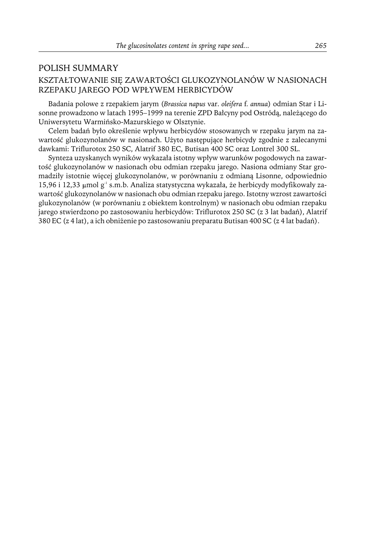# POLISH SUMMARY KSZTAŁTOWANIE SIĘ ZAWARTOŚCI GLUKOZYNOLANÓW W NASIONACH RZEPAKU JAREGO POD WPŁYWEM HERBICYDÓW

Badania polowe z rzepakiem jarym (*Brassica napus* var. *oleifera* f*. annua*) odmian Star i Lisonne prowadzono w latach 1995–1999 na terenie ZPD Bałcyny pod Ostródą, należącego do Uniwersytetu Warmińsko-Mazurskiego w Olsztynie.

Celem badań było określenie wpływu herbicydów stosowanych w rzepaku jarym na zawartość glukozynolanów w nasionach. Użyto następujące herbicydy zgodnie z zalecanymi dawkami: Triflurotox 250 SC, Alatrif 380 EC, Butisan 400 SC oraz Lontrel 300 SL.

Synteza uzyskanych wyników wykazała istotny wpływ warunków pogodowych na zawartość glukozynolanów w nasionach obu odmian rzepaku jarego. Nasiona odmiany Star gromadziły istotnie więcej glukozynolanów, w porównaniu z odmianą Lisonne, odpowiednio 15,96 i 12,33  $\mu$ mol g<sup>-1</sup> s.m.b. Analiza statystyczna wykazała, że herbicydy modyfikowały zawartość glukozynolanów w nasionach obu odmian rzepaku jarego. Istotny wzrost zawartości glukozynolanów (w porównaniu z obiektem kontrolnym) w nasionach obu odmian rzepaku jarego stwierdzono po zastosowaniu herbicydów: Triflurotox 250 SC (z 3 lat badań), Alatrif 380 EC (z 4 lat), a ich obniżenie po zastosowaniu preparatu Butisan 400 SC (z 4 lat badań).